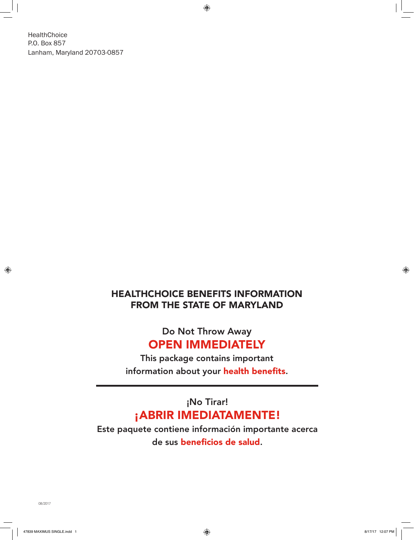HealthChoice<br>P.O. Box 857 P.O. Box 857 Lanham, Maryland 20703-0857 HealthChoice<br>P.O. Box 857<br>Lanham, Maryland 20703-0857

### HEALTHCHOICE BENEFITS INFORMATION HEALTHCHOICE BENEFITS INFORMATION FROM THE STATE OF MARYLAND FROM THE FROM THE STATE OF MARYLAND

 $\bigoplus$ 

Do Not Throw Away OPEN IMMEDIATELY OPEN IMMEDIATELY

This package contains important This package contains important information about your health benefits. information about your health benefits.

## ¡No Tirar! ¡No Tirar! ¡ABRIR IMEDIATAMENTE! ¡ABRIR IMEDIATAMENTE! ¡ABRIR IMEDIATAMENTE!

Este paquete contiene información importante acerca Este paquete contiene información importante acerca Este paquete contiene información importante acerca de sus beneficios de salud. Si usted eligen elige una organizatión de salud. Si usted elige una organizatión de salud. Si usted elige una organizatión de salud. Si usted elige una organizatión de salud. Si usted elige una HEALTHCHOICE BENEFITS INFORMATION<br>
FROM THE STATE OF MARYLAND<br>
Do Not Throw Away<br> **OPEN IMMEDIATELY**<br>
This package contains important<br>
information about your health benefits.<br>
<br> **ABRIR IMEDIATAMENTE!**<br>
Este paquete contien

08/2017

 $\bigoplus$ 

 $\bigoplus$